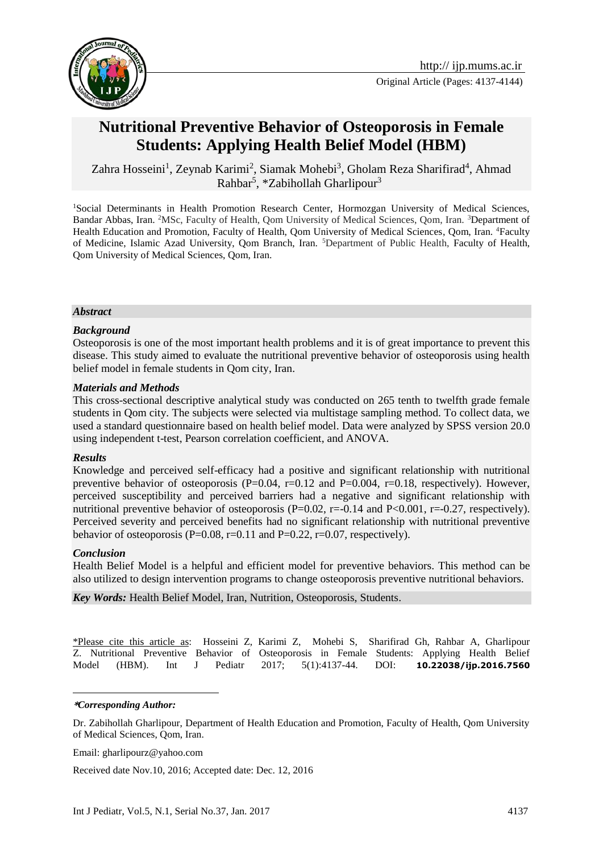

# **Nutritional Preventive Behavior of Osteoporosis in Female Students: Applying Health Belief Model (HBM)**

[Zahra Hosseini](http://ijp.mums.ac.ir/?_action=article&au=71954&_au=Zahra++Hosseini)<sup>1</sup>, Zeynab Karimi<sup>2</sup>, [Siamak Mohebi](http://ijp.mums.ac.ir/?_action=article&au=70492&_au=siamak++mohebi)<sup>3</sup>, [Gholam Reza Sharifirad](http://ijp.mums.ac.ir/?_action=article&au=63715&_au=Gholam+Reza++sharifirad)<sup>4</sup>, Ahmad Rahbar<sup>5</sup>, \*Zabihollah Gharlipour<sup>3</sup>

<sup>1</sup>Social Determinants in Health Promotion Research Center, Hormozgan University of Medical Sciences, Bandar Abbas, Iran. <sup>2</sup>MSc, Faculty of Health, Qom University of Medical Sciences, Qom, Iran. <sup>3</sup>Department of Health Education and Promotion, Faculty of Health, Qom University of Medical Sciences, Qom, Iran. <sup>4</sup>Faculty of Medicine, Islamic Azad University, Qom Branch, Iran. <sup>5</sup>Department of Public Health, Faculty of Health, Qom University of Medical Sciences, Qom, Iran.

#### *Abstract*

#### *Background*

Osteoporosis is one of the most important health problems and it is of great importance to prevent this disease. This study aimed to evaluate the nutritional preventive behavior of osteoporosis using health belief model in female students in Qom city, Iran.

#### *Materials and Methods*

This cross-sectional descriptive analytical study was conducted on 265 tenth to twelfth grade female students in Qom city. The subjects were selected via multistage sampling method. To collect data, we used a standard questionnaire based on health belief model. Data were analyzed by SPSS version 20.0 using independent t-test, Pearson correlation coefficient, and ANOVA.

#### *Results*

Knowledge and perceived self-efficacy had a positive and significant relationship with nutritional preventive behavior of osteoporosis  $(P=0.04, r=0.12$  and  $P=0.004, r=0.18$ , respectively). However, perceived susceptibility and perceived barriers had a negative and significant relationship with nutritional preventive behavior of osteoporosis  $(P=0.02, r=-0.14$  and  $P<0.001, r=-0.27$ , respectively). Perceived severity and perceived benefits had no significant relationship with nutritional preventive behavior of osteoporosis (P=0.08, r=0.11 and P=0.22, r=0.07, respectively).

#### *Conclusion*

Health Belief Model is a helpful and efficient model for preventive behaviors. This method can be also utilized to design intervention programs to change osteoporosis preventive nutritional behaviors.

*Key Words:* Health Belief Model, Iran, Nutrition, Osteoporosis, Students.

\*Please cite this article as: [Hosseini](http://ijp.mums.ac.ir/?_action=article&au=71954&_au=Zahra++Hosseini) Z, Karimi Z, [Mohebi](http://ijp.mums.ac.ir/?_action=article&au=70492&_au=siamak++mohebi) S, [Sharifirad](http://ijp.mums.ac.ir/?_action=article&au=63715&_au=Gholam+Reza++sharifirad) Gh, Rahbar A, Gharlipour Z. Nutritional Preventive Behavior of Osteoporosis in Female Students: Applying Health Belief Model (HBM). Int J Pediatr 2017; 5(1):4137-44. DOI: **[10.22038/ijp.2016.7560](http://dx.doi.org/10.22038/ijp.2016.7560)**

#### **\****Corresponding Author:*

1

Dr. Zabihollah Gharlipour, Department of Health Education and Promotion, Faculty of Health, Qom University of Medical Sciences, Qom, Iran.

Email: gharlipourz@yahoo.com

Received date Nov.10, 2016; Accepted date: Dec. 12, 2016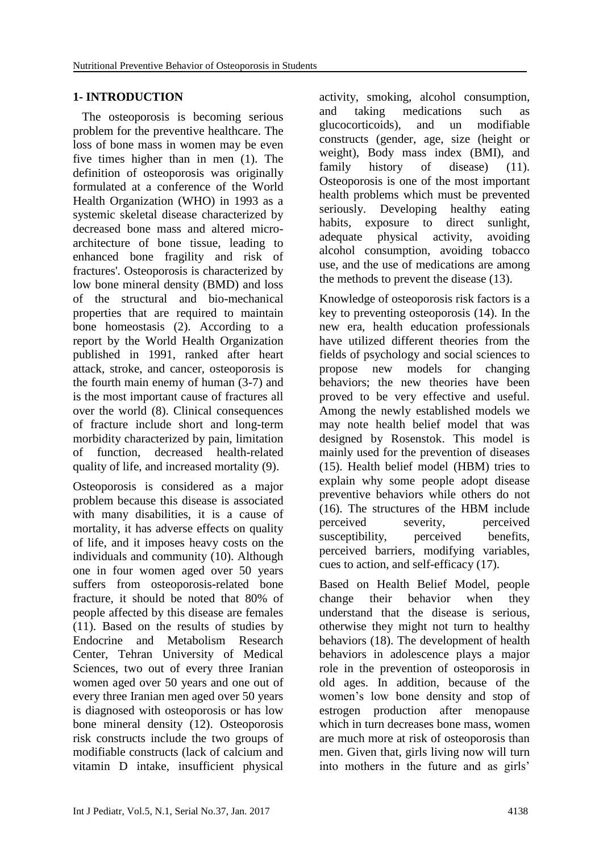### **1- INTRODUCTION**

 The osteoporosis is becoming serious problem for the preventive healthcare. The loss of bone mass in women may be even five times higher than in men (1). The definition of osteoporosis was originally formulated at a conference of the World Health Organization (WHO) in 1993 as a systemic skeletal disease characterized by decreased bone mass and altered microarchitecture of bone tissue, leading to enhanced bone fragility and risk of fractures'. Osteoporosis is characterized by low bone mineral density (BMD) and loss of the structural and bio-mechanical properties that are required to maintain bone homeostasis (2). According to a report by the World Health Organization published in 1991, ranked after heart attack, stroke, and cancer, osteoporosis is the fourth main enemy of human (3-7) and is the most important cause of fractures all over the world (8). Clinical consequences of fracture include short and long-term morbidity characterized by pain, limitation of function, decreased health-related quality of life, and increased mortality (9).

Osteoporosis is considered as a major problem because this disease is associated with many disabilities, it is a cause of mortality, it has adverse effects on quality of life, and it imposes heavy costs on the individuals and community (10). Although one in four women aged over 50 years suffers from osteoporosis-related bone fracture, it should be noted that 80% of people affected by this disease are females (11). Based on the results of studies by Endocrine and Metabolism Research Center, Tehran University of Medical Sciences, two out of every three Iranian women aged over 50 years and one out of every three Iranian men aged over 50 years is diagnosed with osteoporosis or has low bone mineral density (12). Osteoporosis risk constructs include the two groups of modifiable constructs (lack of calcium and vitamin D intake, insufficient physical activity, smoking, alcohol consumption, and taking medications such as glucocorticoids), and un modifiable constructs (gender, age, size (height or weight), Body mass index (BMI), and family history of disease) (11). Osteoporosis is one of the most important health problems which must be prevented seriously. Developing healthy eating habits, exposure to direct sunlight, adequate physical activity, avoiding alcohol consumption, avoiding tobacco use, and the use of medications are among the methods to prevent the disease (13).

Knowledge of osteoporosis risk factors is a key to preventing osteoporosis (14). In the new era, health education professionals have utilized different theories from the fields of psychology and social sciences to propose new models for changing behaviors; the new theories have been proved to be very effective and useful. Among the newly established models we may note health belief model that was designed by Rosenstok. This model is mainly used for the prevention of diseases (15). Health belief model (HBM) tries to explain why some people adopt disease preventive behaviors while others do not (16). The structures of the HBM include perceived severity, perceived susceptibility, perceived benefits, perceived barriers, modifying variables, cues to action, and self-efficacy (17).

Based on Health Belief Model, people change their behavior when they understand that the disease is serious, otherwise they might not turn to healthy behaviors (18). The development of health behaviors in adolescence plays a major role in the prevention of osteoporosis in old ages. In addition, because of the women's low bone density and stop of estrogen production after menopause which in turn decreases bone mass, women are much more at risk of osteoporosis than men. Given that, girls living now will turn into mothers in the future and as girls'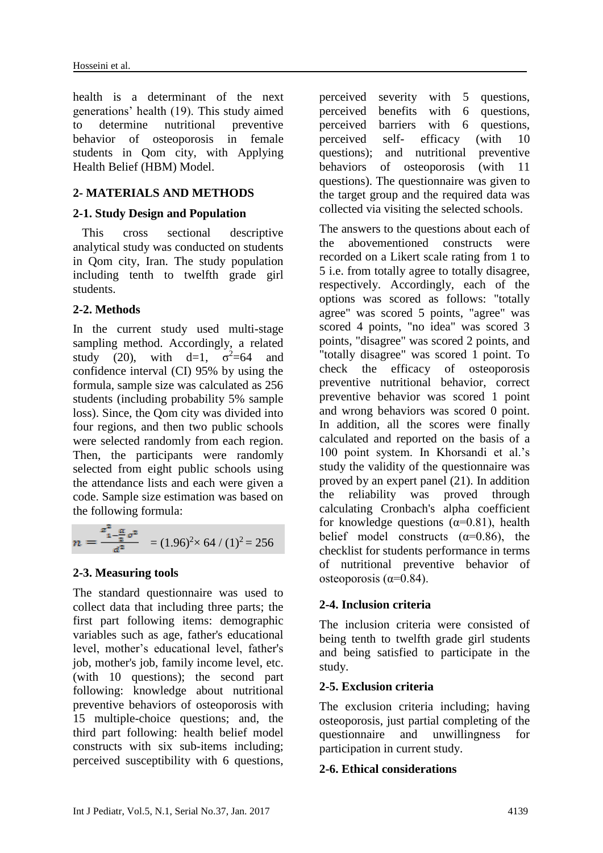health is a determinant of the next generations' health (19). This study aimed to determine nutritional preventive behavior of osteoporosis in female students in Qom city, with Applying Health Belief (HBM) Model.

# **2- MATERIALS AND METHODS**

### **2-1. Study Design and Population**

 This cross sectional descriptive analytical study was conducted on students in Qom city, Iran. The study population including tenth to twelfth grade girl students.

## **2-2. Methods**

In the current study used multi-stage sampling method. Accordingly, a related study (20), with d=1,  $\sigma^2=64$  and confidence interval (CI) 95% by using the formula, sample size was calculated as 256 students (including probability 5% sample loss). Since, the Qom city was divided into four regions, and then two public schools were selected randomly from each region. Then, the participants were randomly selected from eight public schools using the attendance lists and each were given a code. Sample size estimation was based on the following formula:

$$
n = \frac{z_{1-\frac{\alpha}{2}\sigma^2}^2}{d^2} = (1.96)^2 \times 64 / (1)^2 = 256
$$

## **2-3. Measuring tools**

The standard questionnaire was used to collect data that including three parts; the first part following items: demographic variables such as age, father's educational level, mother's educational level, father's job, mother's job, family income level, etc. (with 10 questions); the second part following: knowledge about nutritional preventive behaviors of osteoporosis with 15 multiple-choice questions; and, the third part following: health belief model constructs with six sub-items including; perceived susceptibility with 6 questions,

perceived severity with 5 questions, perceived benefits with 6 questions, perceived barriers with 6 questions, perceived self- efficacy (with 10 questions); and nutritional preventive behaviors of osteoporosis (with 11 questions). The questionnaire was given to the target group and the required data was collected via visiting the selected schools.

The answers to the questions about each of the abovementioned constructs were recorded on a Likert scale rating from 1 to 5 i.e. from totally agree to totally disagree, respectively. Accordingly, each of the options was scored as follows: "totally agree" was scored 5 points, "agree" was scored 4 points, "no idea" was scored 3 points, "disagree" was scored 2 points, and "totally disagree" was scored 1 point. To check the efficacy of osteoporosis preventive nutritional behavior, correct preventive behavior was scored 1 point and wrong behaviors was scored 0 point. In addition, all the scores were finally calculated and reported on the basis of a 100 point system. In Khorsandi et al.'s study the validity of the questionnaire was proved by an expert panel (21). In addition the reliability was proved through calculating Cronbach's alpha coefficient for knowledge questions  $(\alpha=0.81)$ , health belief model constructs  $(\alpha=0.86)$ , the checklist for students performance in terms of nutritional preventive behavior of osteoporosis ( $\alpha$ =0.84).

## **2-4. Inclusion criteria**

The inclusion criteria were consisted of being tenth to twelfth grade girl students and being satisfied to participate in the study.

### **2-5. Exclusion criteria**

The exclusion criteria including; having osteoporosis, just partial completing of the questionnaire and unwillingness for participation in current study.

### **2-6. Ethical considerations**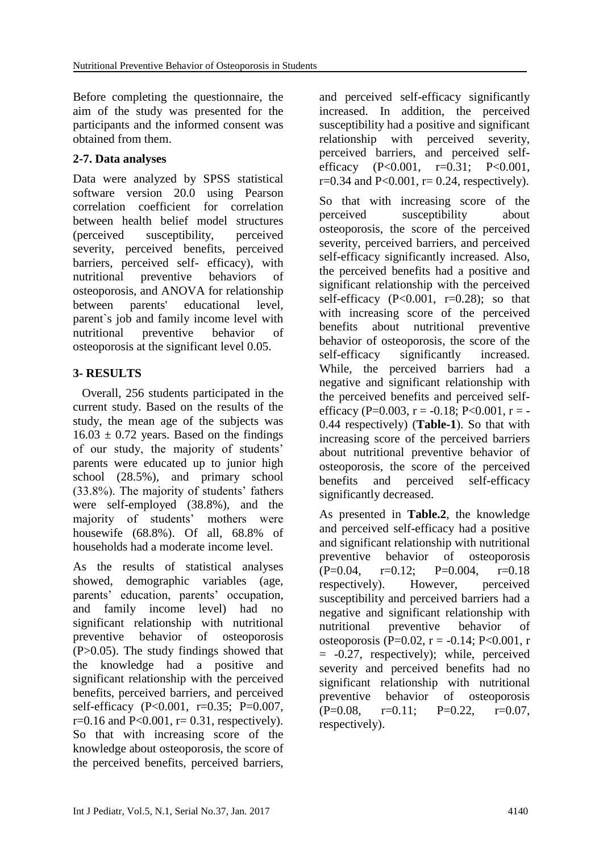Before completing the questionnaire, the aim of the study was presented for the participants and the informed consent was obtained from them.

# **2-7. Data analyses**

Data were analyzed by SPSS statistical software version 20.0 using Pearson correlation coefficient for correlation between health belief model structures (perceived susceptibility, perceived severity, perceived benefits, perceived barriers, perceived self- efficacy), with nutritional preventive behaviors of osteoporosis, and ANOVA for relationship between parents' educational level, parent`s job and family income level with nutritional preventive behavior of osteoporosis at the significant level 0.05.

# **3- RESULTS**

 Overall, 256 students participated in the current study. Based on the results of the study, the mean age of the subjects was  $16.03 \pm 0.72$  years. Based on the findings of our study, the majority of students' parents were educated up to junior high school (28.5%), and primary school (33.8%). The majority of students' fathers were self-employed (38.8%), and the majority of students' mothers were housewife (68.8%). Of all, 68.8% of households had a moderate income level.

As the results of statistical analyses showed, demographic variables (age, parents' education, parents' occupation, and family income level) had no significant relationship with nutritional preventive behavior of osteoporosis (P>0.05). The study findings showed that the knowledge had a positive and significant relationship with the perceived benefits, perceived barriers, and perceived self-efficacy (P<0.001, r=0.35; P=0.007,  $r=0.16$  and  $P<0.001$ ,  $r=0.31$ , respectively). So that with increasing score of the knowledge about osteoporosis, the score of the perceived benefits, perceived barriers,

and perceived self-efficacy significantly increased. In addition, the perceived susceptibility had a positive and significant relationship with perceived severity, perceived barriers, and perceived selfefficacy (P<0.001, r=0.31; P<0.001,  $r=0.34$  and  $P<0.001$ ,  $r=0.24$ , respectively).

So that with increasing score of the perceived susceptibility about osteoporosis, the score of the perceived severity, perceived barriers, and perceived self-efficacy significantly increased. Also, the perceived benefits had a positive and significant relationship with the perceived self-efficacy  $(P<0.001, r=0.28)$ ; so that with increasing score of the perceived benefits about nutritional preventive behavior of osteoporosis, the score of the self-efficacy significantly increased. While, the perceived barriers had a negative and significant relationship with the perceived benefits and perceived selfefficacy (P=0.003, r = -0.18; P<0.001, r = -0.44 respectively) (**Table-1**). So that with increasing score of the perceived barriers about nutritional preventive behavior of osteoporosis, the score of the perceived benefits and perceived self-efficacy significantly decreased.

As presented in **Table.2**, the knowledge and perceived self-efficacy had a positive and significant relationship with nutritional preventive behavior of osteoporosis  $(P=0.04, r=0.12; P=0.004, r=0.18)$ respectively). However, perceived susceptibility and perceived barriers had a negative and significant relationship with nutritional preventive behavior of osteoporosis (P=0.02, r = -0.14; P<0.001, r = -0.27, respectively); while, perceived severity and perceived benefits had no significant relationship with nutritional preventive behavior of osteoporosis  $(P=0.08, r=0.11; P=0.22, r=0.07,$ respectively).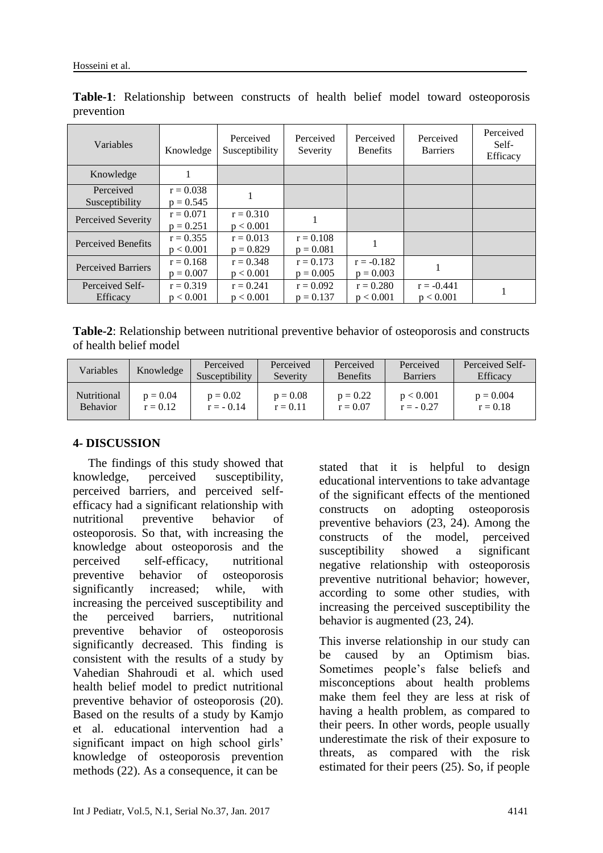| Variables                 | Knowledge   | Perceived<br>Susceptibility | Perceived<br>Severity | Perceived<br><b>Benefits</b> | Perceived<br><b>Barriers</b> | Perceived<br>Self-<br>Efficacy |
|---------------------------|-------------|-----------------------------|-----------------------|------------------------------|------------------------------|--------------------------------|
| Knowledge                 |             |                             |                       |                              |                              |                                |
| Perceived                 | $r = 0.038$ |                             |                       |                              |                              |                                |
| Susceptibility            | $p = 0.545$ |                             |                       |                              |                              |                                |
| Perceived Severity        | $r = 0.071$ | $r = 0.310$                 |                       |                              |                              |                                |
|                           | $p = 0.251$ | p < 0.001                   |                       |                              |                              |                                |
| Perceived Benefits        | $r = 0.355$ | $r = 0.013$                 | $r = 0.108$           |                              |                              |                                |
|                           | p < 0.001   | $p = 0.829$                 | $p = 0.081$           |                              |                              |                                |
| <b>Perceived Barriers</b> | $r = 0.168$ | $r = 0.348$                 | $r = 0.173$           | $r = -0.182$                 |                              |                                |
|                           | $p = 0.007$ | p < 0.001                   | $p = 0.005$           | $p = 0.003$                  |                              |                                |
| Perceived Self-           | $r = 0.319$ | $r = 0.241$                 | $r = 0.092$           | $r = 0.280$                  | $r = -0.441$                 |                                |
| Efficacy                  | p < 0.001   | p < 0.001                   | $p = 0.137$           | p < 0.001                    | p < 0.001                    |                                |

**Table-1**: Relationship between constructs of health belief model toward osteoporosis prevention

**Table-2**: Relationship between nutritional preventive behavior of osteoporosis and constructs of health belief model

| Variables       | Knowledge  | Perceived<br>Susceptibility | Perceived<br>Severity | Perceived<br><b>Benefits</b> | Perceived<br><b>Barriers</b> | Perceived Self-<br><b>Efficacy</b> |
|-----------------|------------|-----------------------------|-----------------------|------------------------------|------------------------------|------------------------------------|
| Nutritional     | $p = 0.04$ | $p = 0.02$                  | $p = 0.08$            | $p = 0.22$                   | p < 0.001                    | $p = 0.004$                        |
| <b>Behavior</b> | $r = 0.12$ | $r = -0.14$                 | $r = 0.11$            | $r = 0.07$                   | $r = -0.27$                  | $r = 0.18$                         |

### **4- DISCUSSION**

 The findings of this study showed that knowledge, perceived susceptibility, perceived barriers, and perceived selfefficacy had a significant relationship with nutritional preventive behavior of osteoporosis. So that, with increasing the knowledge about osteoporosis and the perceived self-efficacy, nutritional preventive behavior of osteoporosis significantly increased; while, with increasing the perceived susceptibility and the perceived barriers, nutritional preventive behavior of osteoporosis significantly decreased. This finding is consistent with the results of a study by Vahedian Shahroudi et al. which used health belief model to predict nutritional preventive behavior of osteoporosis (20). Based on the results of a study by Kamjo et al. educational intervention had a significant impact on high school girls' knowledge of osteoporosis prevention methods (22). As a consequence, it can be

stated that it is helpful to design educational interventions to take advantage of the significant effects of the mentioned constructs on adopting osteoporosis preventive behaviors (23, 24). Among the constructs of the model, perceived susceptibility showed a significant negative relationship with osteoporosis preventive nutritional behavior; however, according to some other studies, with increasing the perceived susceptibility the behavior is augmented (23, 24).

This inverse relationship in our study can be caused by an Optimism bias. Sometimes people's false beliefs and misconceptions about health problems make them feel they are less at risk of having a health problem, as compared to their peers. In other words, people usually underestimate the risk of their exposure to threats, as compared with the risk estimated for their peers (25). So, if people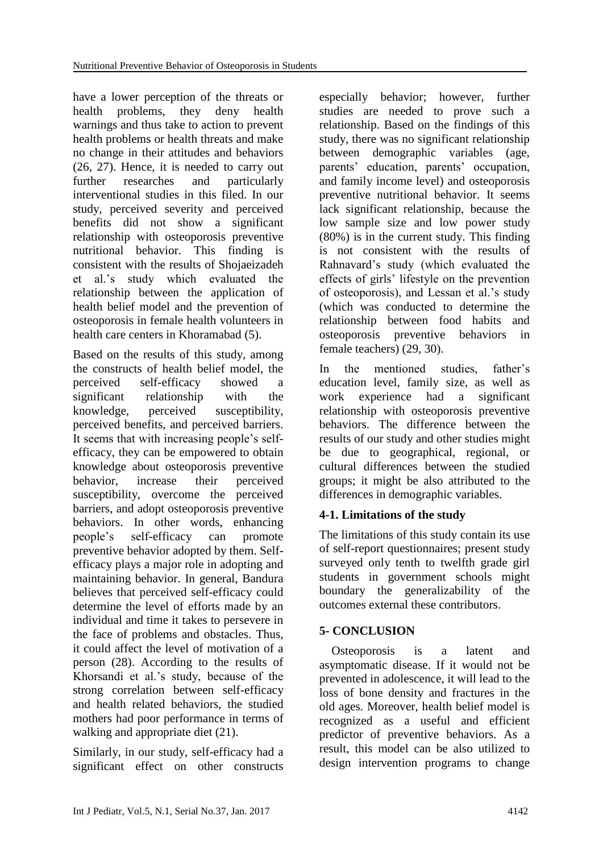have a lower perception of the threats or health problems, they deny health warnings and thus take to action to prevent health problems or health threats and make no change in their attitudes and behaviors (26, 27). Hence, it is needed to carry out further researches and particularly interventional studies in this filed. In our study, perceived severity and perceived benefits did not show a significant relationship with osteoporosis preventive nutritional behavior. This finding is consistent with the results of Shojaeizadeh et al.'s study which evaluated the relationship between the application of health belief model and the prevention of osteoporosis in female health volunteers in health care centers in Khoramabad (5).

Based on the results of this study, among the constructs of health belief model, the perceived self-efficacy showed a significant relationship with the knowledge, perceived susceptibility, perceived benefits, and perceived barriers. It seems that with increasing people's selfefficacy, they can be empowered to obtain knowledge about osteoporosis preventive behavior, increase their perceived susceptibility, overcome the perceived barriers, and adopt osteoporosis preventive behaviors. In other words, enhancing people's self-efficacy can promote preventive behavior adopted by them. Selfefficacy plays a major role in adopting and maintaining behavior. In general, Bandura believes that perceived self-efficacy could determine the level of efforts made by an individual and time it takes to persevere in the face of problems and obstacles. Thus, it could affect the level of motivation of a person (28). According to the results of Khorsandi et al.'s study, because of the strong correlation between self-efficacy and health related behaviors, the studied mothers had poor performance in terms of walking and appropriate diet (21).

Similarly, in our study, self-efficacy had a significant effect on other constructs especially behavior; however, further studies are needed to prove such a relationship. Based on the findings of this study, there was no significant relationship between demographic variables (age, parents' education, parents' occupation, and family income level) and osteoporosis preventive nutritional behavior. It seems lack significant relationship, because the low sample size and low power study (80%) is in the current study. This finding is not consistent with the results of Rahnavard's study (which evaluated the effects of girls' lifestyle on the prevention of osteoporosis), and Lessan et al.'s study (which was conducted to determine the relationship between food habits and osteoporosis preventive behaviors in female teachers) (29, 30).

In the mentioned studies, father's education level, family size, as well as work experience had a significant relationship with osteoporosis preventive behaviors. The difference between the results of our study and other studies might be due to geographical, regional, or cultural differences between the studied groups; it might be also attributed to the differences in demographic variables.

## **4-1. Limitations of the study**

The limitations of this study contain its use of self-report questionnaires; present study surveyed only tenth to twelfth grade girl students in government schools might boundary the generalizability of the outcomes external these contributors.

# **5- CONCLUSION**

 Osteoporosis is a latent and asymptomatic disease. If it would not be prevented in adolescence, it will lead to the loss of bone density and fractures in the old ages. Moreover, health belief model is recognized as a useful and efficient predictor of preventive behaviors. As a result, this model can be also utilized to design intervention programs to change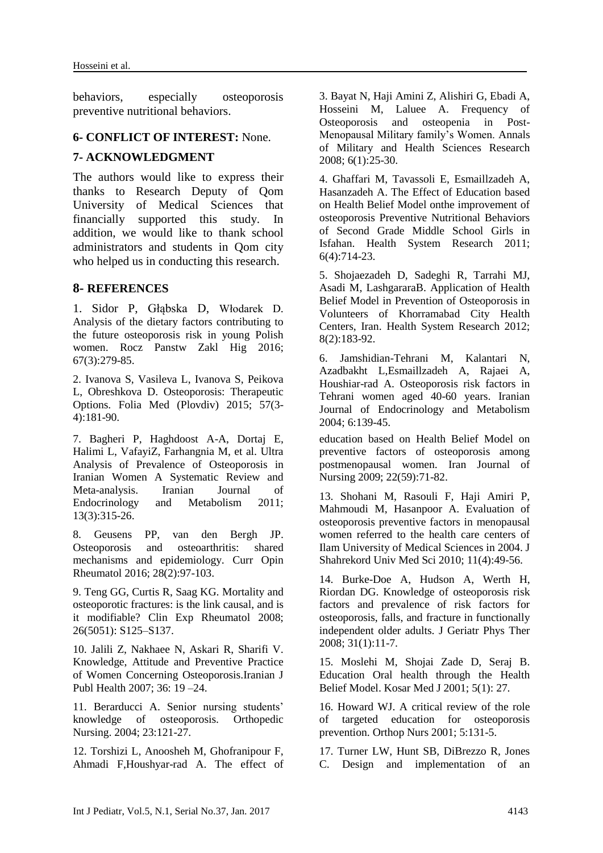behaviors, especially osteoporosis preventive nutritional behaviors.

#### **6- CONFLICT OF INTEREST:** None.

#### **7- ACKNOWLEDGMENT**

The authors would like to express their thanks to Research Deputy of Qom University of Medical Sciences that financially supported this study. In addition, we would like to thank school administrators and students in Qom city who helped us in conducting this research.

#### **8- REFERENCES**

1. [Sidor P,](http://www.ncbi.nlm.nih.gov/pubmed/?term=Sidor%20P%5BAuthor%5D&cauthor=true&cauthor_uid=27546325) [Głąbska D,](http://www.ncbi.nlm.nih.gov/pubmed/?term=G%C5%82%C4%85bska%20D%5BAuthor%5D&cauthor=true&cauthor_uid=27546325) [Włodarek D.](http://www.ncbi.nlm.nih.gov/pubmed/?term=W%C5%82odarek%20D%5BAuthor%5D&cauthor=true&cauthor_uid=27546325) Analysis of the dietary factors contributing to the future osteoporosis risk in young Polish women. [Rocz Panstw Zakl Hig](http://www.ncbi.nlm.nih.gov/pubmed/27546325) 2016; 67(3):279-85.

2. [Ivanova S,](http://www.ncbi.nlm.nih.gov/pubmed/?term=Ivanova%20S%5BAuthor%5D&cauthor=true&cauthor_uid=27180344) [Vasileva L,](http://www.ncbi.nlm.nih.gov/pubmed/?term=Vasileva%20L%5BAuthor%5D&cauthor=true&cauthor_uid=27180344) [Ivanova](http://www.ncbi.nlm.nih.gov/pubmed/?term=Ivanova%20S%5BAuthor%5D&cauthor=true&cauthor_uid=27180344) S, [Peikova](http://www.ncbi.nlm.nih.gov/pubmed/?term=Peikova%20L%5BAuthor%5D&cauthor=true&cauthor_uid=27180344)  [L,](http://www.ncbi.nlm.nih.gov/pubmed/?term=Peikova%20L%5BAuthor%5D&cauthor=true&cauthor_uid=27180344) [Obreshkova D.](http://www.ncbi.nlm.nih.gov/pubmed/?term=Obreshkova%20D%5BAuthor%5D&cauthor=true&cauthor_uid=27180344) Osteoporosis: Therapeutic Options. [Folia Med \(Plovdiv\)](http://www.ncbi.nlm.nih.gov/pubmed/27180344) 2015; 57(3- 4):181-90.

7. Bagheri P, Haghdoost A-A, Dortaj E, Halimi L, VafayiZ, Farhangnia M, et al. Ultra Analysis of Prevalence of Osteoporosis in Iranian Women A Systematic Review and Meta-analysis. Iranian Journal of Endocrinology and Metabolism 2011; 13(3):315-26.

8. [Geusens PP,](http://www.ncbi.nlm.nih.gov/pubmed/?term=Geusens%20PP%5BAuthor%5D&cauthor=true&cauthor_uid=26780427) [van den Bergh JP.](http://www.ncbi.nlm.nih.gov/pubmed/?term=van%20den%20Bergh%20JP%5BAuthor%5D&cauthor=true&cauthor_uid=26780427) Osteoporosis and osteoarthritis: shared mechanisms and epidemiology. [Curr Opin](http://www.ncbi.nlm.nih.gov/pubmed/26780427)  [Rheumatol](http://www.ncbi.nlm.nih.gov/pubmed/26780427) 2016; 28(2):97-103.

9. Teng GG, Curtis R, Saag KG. [Mortality and](http://www.ncbi.nlm.nih.gov/pmc/articles/PMC4124750/)  [osteoporotic fractures: is the link causal, and is](http://www.ncbi.nlm.nih.gov/pmc/articles/PMC4124750/)  [it modifiable?](http://www.ncbi.nlm.nih.gov/pmc/articles/PMC4124750/) Clin Exp Rheumatol 2008; 26(5051): S125–S137.

10. Jalili Z, Nakhaee N, Askari R, Sharifi V. Knowledge, Attitude and Preventive Practice of Women Concerning Osteoporosis.Iranian J Publ Health 2007; 36: 19 –24.

11. Berarducci A. Senior nursing students' knowledge of osteoporosis. Orthopedic Nursing. 2004; 23:121-27.

12. Torshizi L, Anoosheh M, Ghofranipour F, Ahmadi F,Houshyar-rad A. The effect of 3. Bayat N, Haji Amini Z, Alishiri G, Ebadi A, Hosseini M, Laluee A. Frequency of Osteoporosis and osteopenia in Post-Menopausal Military family's Women. [Annals](http://en.journals.sid.ir/JournalList.aspx?ID=4429)  [of Military and Health Sciences Research](http://en.journals.sid.ir/JournalList.aspx?ID=4429) 2008; 6(1):25-30.

4. Ghaffari M, Tavassoli E, Esmaillzadeh A, Hasanzadeh A. The Effect of Education based on Health Belief Model onthe improvement of osteoporosis Preventive Nutritional Behaviors of Second Grade Middle School Girls in Isfahan. Health System Research 2011; 6(4):714-23.

5. Shojaezadeh D, Sadeghi R, Tarrahi MJ, Asadi M, LashgararaB. Application of Health Belief Model in Prevention of Osteoporosis in Volunteers of Khorramabad City Health Centers, Iran. Health System Research 2012; 8(2):183-92.

6. Jamshidian-Tehrani M, Kalantari N, Azadbakht L,Esmaillzadeh A, Rajaei A, Houshiar-rad A. Osteoporosis risk factors in Tehrani women aged 40-60 years. Iranian Journal of Endocrinology and Metabolism 2004; 6:139-45.

education based on Health Belief Model on preventive factors of osteoporosis among postmenopausal women. Iran Journal of Nursing 2009; 22(59):71-82.

13. Shohani M, Rasouli F, Haji Amiri P, Mahmoudi M, Hasanpoor A. Evaluation of osteoporosis preventive factors in menopausal women referred to the health care centers of Ilam University of Medical Sciences in 2004. J Shahrekord Univ Med Sci 2010; 11(4):49-56.

14. [Burke-Doe A,](http://www.ncbi.nlm.nih.gov/pubmed/?term=Burke-Doe%20A%5BAuthor%5D&cauthor=true&cauthor_uid=18489803) [Hudson A,](http://www.ncbi.nlm.nih.gov/pubmed/?term=Hudson%20A%5BAuthor%5D&cauthor=true&cauthor_uid=18489803) [Werth H,](http://www.ncbi.nlm.nih.gov/pubmed/?term=Werth%20H%5BAuthor%5D&cauthor=true&cauthor_uid=18489803) [Riordan DG.](http://www.ncbi.nlm.nih.gov/pubmed/?term=Riordan%20DG%5BAuthor%5D&cauthor=true&cauthor_uid=18489803) Knowledge of osteoporosis risk factors and prevalence of risk factors for osteoporosis, falls, and fracture in functionally independent older adults. [J Geriatr Phys Ther](http://www.ncbi.nlm.nih.gov/pubmed/18489803) 2008; 31(1):11-7.

15. Moslehi M, Shojai Zade D, Seraj B. Education Oral health through the Health Belief Model. Kosar Med J 2001; 5(1): 27.

16. Howard WJ. A critical review of the role of targeted education for osteoporosis prevention. Orthop Nurs 2001; 5:131-5.

17. Turner LW, Hunt SB, DiBrezzo R, Jones C. Design and implementation of an